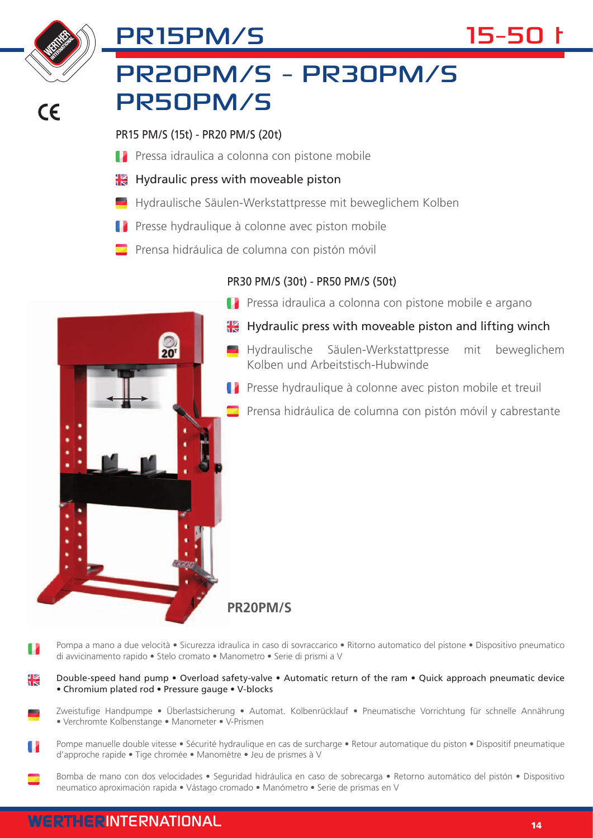

 $\epsilon$ 

## PR20PM/S - PR30PM/S PR50PM/S

PR15 PM/S (15t) - PR20 PM/S (20t)

 $\frac{1}{20}$ 

PR15PM/S

- **Pressa idraulica a colonna con pistone mobile**
- **H** Hydraulic press with moveable piston
- Hydraulische Säulen-Werkstattpresse mit beweglichem Kolben
- Presse hydraulique à colonne avec piston mobile
- Prensa hidráulica de columna con pistón móvil

## PR30 PM/S (30t) - PR50 PM/S (50t)



- $\mathbf{H}$  Hydraulic press with moveable piston and lifting winch
	- Hydraulische Säulen-Werkstattpresse mit beweglichem Kolben und Arbeitstisch-Hubwinde
- **Presse hydraulique à colonne avec piston mobile et treuil** 
	- Prensa hidráulica de columna con pistón móvil y cabrestante

**PR20PM/S**

- Pompa a mano a due velocità Sicurezza idraulica in caso di sovraccarico Ritorno automatico del pistone Dispositivo pneumatico T di avvicinamento rapido • Stelo cromato • Manometro • Serie di prismi a V
- Ж Double-speed hand pump • Overload safety-valve • Automatic return of the ram • Quick approach pneumatic device • Chromium plated rod • Pressure gauge • V-blocks
	- Zweistufige Handpumpe Überlastsicherung Automat. Kolbenrücklauf Pneumatische Vorrichtung für schnelle Annährung • Verchromte Kolbenstange • Manometer • V-Prismen
- Pompe manuelle double vitesse Sécurité hydraulique en cas de surcharge Retour automatique du piston Dispositif pneumatique d'approche rapide • Tige chromée • Manomètre • Jeu de prismes à V
- Bomba de mano con dos velocidades Seguridad hidráulica en caso de sobrecarga Retorno automático del pistón Dispositivo neumatico aproximación rapida • Vástago cromado • Manómetro • Serie de prismas en V



15-50 t